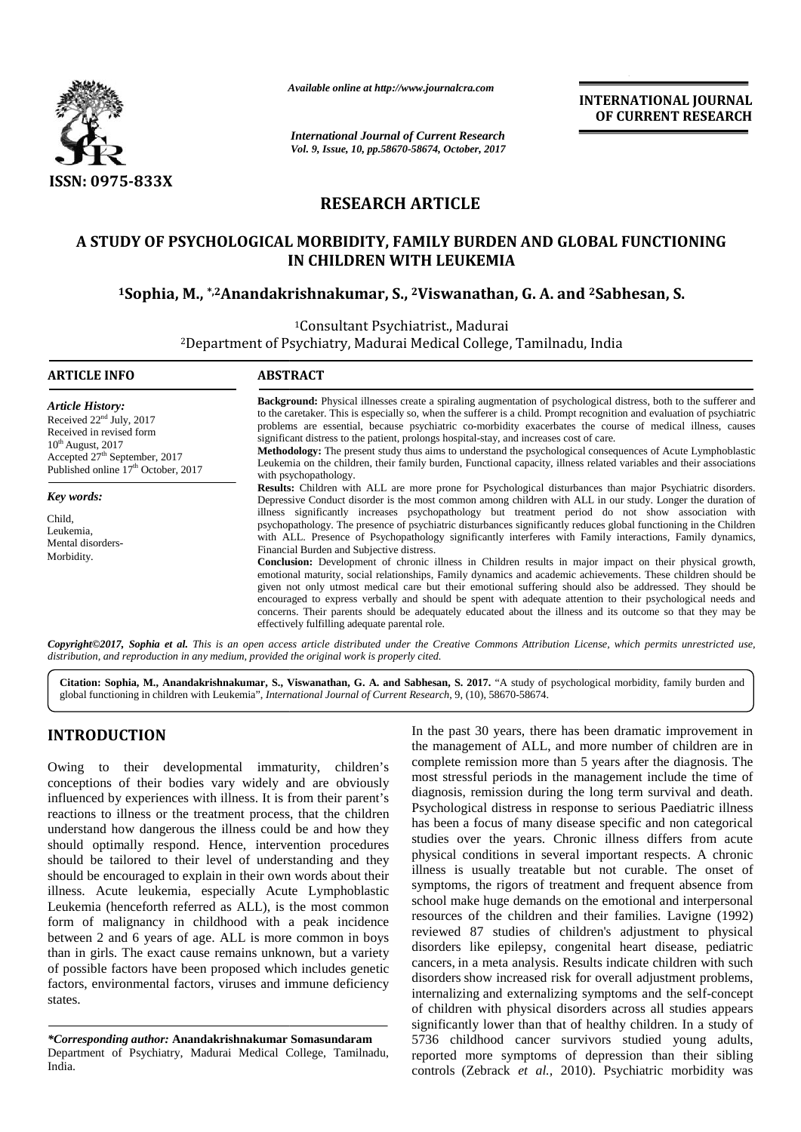

*Available online at http://www.journalcra.com*

**INTERNATIONAL JOURNAL OF CURRENT RESEARCH**

# **RESEARCH ARTICLE**

# **A STUDY OF PSYCHOLOGICAL MORBIDITY, FAMILY BURDEN AND GLOBAL FUNCTIONING IN CHILDREN WITH LEUKEMIA <sup>1</sup>Sophia, M., \*,2Anandakrishnakumar, S., <sup>2</sup>Viswanathan, G. A. and <sup>2</sup>Sabhesan, S. PSYCHOLOGICAL MORBIDITY, S., G.**

|                                                                                                                                                                                                                                                                                                                                                                                                                                                                                                                                                                                                                                                                                                                                                                                                                                                                                                                                                                                    |                                                                                                                                                                                                                                                                                                                                                                                                                                                                                                                                                                                                                                                                                                                                                                                                                                                                                                                                                                                                                                                                                                                                                                                                                                                 | <b>INTERNATIONAL JOURNAL</b><br>OF CURRENT RESEARCH                                                                                                                                                                                                                                                                                                                                                                                                                                                                                                                                                                                                                                                                                                                                                                                                                                                                                                                                                                                                                                                                                                                                            |  |  |  |  |  |  |
|------------------------------------------------------------------------------------------------------------------------------------------------------------------------------------------------------------------------------------------------------------------------------------------------------------------------------------------------------------------------------------------------------------------------------------------------------------------------------------------------------------------------------------------------------------------------------------------------------------------------------------------------------------------------------------------------------------------------------------------------------------------------------------------------------------------------------------------------------------------------------------------------------------------------------------------------------------------------------------|-------------------------------------------------------------------------------------------------------------------------------------------------------------------------------------------------------------------------------------------------------------------------------------------------------------------------------------------------------------------------------------------------------------------------------------------------------------------------------------------------------------------------------------------------------------------------------------------------------------------------------------------------------------------------------------------------------------------------------------------------------------------------------------------------------------------------------------------------------------------------------------------------------------------------------------------------------------------------------------------------------------------------------------------------------------------------------------------------------------------------------------------------------------------------------------------------------------------------------------------------|------------------------------------------------------------------------------------------------------------------------------------------------------------------------------------------------------------------------------------------------------------------------------------------------------------------------------------------------------------------------------------------------------------------------------------------------------------------------------------------------------------------------------------------------------------------------------------------------------------------------------------------------------------------------------------------------------------------------------------------------------------------------------------------------------------------------------------------------------------------------------------------------------------------------------------------------------------------------------------------------------------------------------------------------------------------------------------------------------------------------------------------------------------------------------------------------|--|--|--|--|--|--|
|                                                                                                                                                                                                                                                                                                                                                                                                                                                                                                                                                                                                                                                                                                                                                                                                                                                                                                                                                                                    | <b>International Journal of Current Research</b><br>Vol. 9, Issue, 10, pp.58670-58674, October, 2017                                                                                                                                                                                                                                                                                                                                                                                                                                                                                                                                                                                                                                                                                                                                                                                                                                                                                                                                                                                                                                                                                                                                            |                                                                                                                                                                                                                                                                                                                                                                                                                                                                                                                                                                                                                                                                                                                                                                                                                                                                                                                                                                                                                                                                                                                                                                                                |  |  |  |  |  |  |
| <b>ISSN: 0975-833X</b>                                                                                                                                                                                                                                                                                                                                                                                                                                                                                                                                                                                                                                                                                                                                                                                                                                                                                                                                                             |                                                                                                                                                                                                                                                                                                                                                                                                                                                                                                                                                                                                                                                                                                                                                                                                                                                                                                                                                                                                                                                                                                                                                                                                                                                 |                                                                                                                                                                                                                                                                                                                                                                                                                                                                                                                                                                                                                                                                                                                                                                                                                                                                                                                                                                                                                                                                                                                                                                                                |  |  |  |  |  |  |
|                                                                                                                                                                                                                                                                                                                                                                                                                                                                                                                                                                                                                                                                                                                                                                                                                                                                                                                                                                                    |                                                                                                                                                                                                                                                                                                                                                                                                                                                                                                                                                                                                                                                                                                                                                                                                                                                                                                                                                                                                                                                                                                                                                                                                                                                 | <b>RESEARCH ARTICLE</b>                                                                                                                                                                                                                                                                                                                                                                                                                                                                                                                                                                                                                                                                                                                                                                                                                                                                                                                                                                                                                                                                                                                                                                        |  |  |  |  |  |  |
| A STUDY OF PSYCHOLOGICAL MORBIDITY, FAMILY BURDEN AND GLOBAL FUNCTIONING<br>IN CHILDREN WITH LEUKEMIA                                                                                                                                                                                                                                                                                                                                                                                                                                                                                                                                                                                                                                                                                                                                                                                                                                                                              |                                                                                                                                                                                                                                                                                                                                                                                                                                                                                                                                                                                                                                                                                                                                                                                                                                                                                                                                                                                                                                                                                                                                                                                                                                                 |                                                                                                                                                                                                                                                                                                                                                                                                                                                                                                                                                                                                                                                                                                                                                                                                                                                                                                                                                                                                                                                                                                                                                                                                |  |  |  |  |  |  |
|                                                                                                                                                                                                                                                                                                                                                                                                                                                                                                                                                                                                                                                                                                                                                                                                                                                                                                                                                                                    |                                                                                                                                                                                                                                                                                                                                                                                                                                                                                                                                                                                                                                                                                                                                                                                                                                                                                                                                                                                                                                                                                                                                                                                                                                                 | <sup>1</sup> Sophia, M., * <sup>2</sup> Anandakrishnakumar, S., <sup>2</sup> Viswanathan, G. A. and <sup>2</sup> Sabhesan, S.<br><sup>1</sup> Consultant Psychiatrist., Madurai<br><sup>2</sup> Department of Psychiatry, Madurai Medical College, Tamilnadu, India                                                                                                                                                                                                                                                                                                                                                                                                                                                                                                                                                                                                                                                                                                                                                                                                                                                                                                                            |  |  |  |  |  |  |
| <b>ARTICLE INFO</b>                                                                                                                                                                                                                                                                                                                                                                                                                                                                                                                                                                                                                                                                                                                                                                                                                                                                                                                                                                | <b>ABSTRACT</b>                                                                                                                                                                                                                                                                                                                                                                                                                                                                                                                                                                                                                                                                                                                                                                                                                                                                                                                                                                                                                                                                                                                                                                                                                                 |                                                                                                                                                                                                                                                                                                                                                                                                                                                                                                                                                                                                                                                                                                                                                                                                                                                                                                                                                                                                                                                                                                                                                                                                |  |  |  |  |  |  |
| <b>Article History:</b><br>Received 22 <sup>nd</sup> July, 2017<br>Received in revised form<br>$10^{th}$ August, 2017<br>Accepted 27 <sup>th</sup> September, 2017<br>Published online 17 <sup>th</sup> October, 2017                                                                                                                                                                                                                                                                                                                                                                                                                                                                                                                                                                                                                                                                                                                                                              | Background: Physical illnesses create a spiraling augmentation of psychological distress, both to the sufferer and<br>to the caretaker. This is especially so, when the sufferer is a child. Prompt recognition and evaluation of psychiatric<br>problems are essential, because psychiatric co-morbidity exacerbates the course of medical illness, causes<br>significant distress to the patient, prolongs hospital-stay, and increases cost of care.<br>Methodology: The present study thus aims to understand the psychological consequences of Acute Lymphoblastic<br>Leukemia on the children, their family burden, Functional capacity, illness related variables and their associations<br>with psychopathology.                                                                                                                                                                                                                                                                                                                                                                                                                                                                                                                        |                                                                                                                                                                                                                                                                                                                                                                                                                                                                                                                                                                                                                                                                                                                                                                                                                                                                                                                                                                                                                                                                                                                                                                                                |  |  |  |  |  |  |
| Key words:<br>Child,<br>Leukemia,<br>Mental disorders-<br>Morbidity.                                                                                                                                                                                                                                                                                                                                                                                                                                                                                                                                                                                                                                                                                                                                                                                                                                                                                                               | Results: Children with ALL are more prone for Psychological disturbances than major Psychiatric disorders.<br>Depressive Conduct disorder is the most common among children with ALL in our study. Longer the duration of<br>illness significantly increases psychopathology but treatment period do not show association with<br>psychopathology. The presence of psychiatric disturbances significantly reduces global functioning in the Children<br>with ALL. Presence of Psychopathology significantly interferes with Family interactions, Family dynamics,<br>Financial Burden and Subjective distress.<br><b>Conclusion:</b> Development of chronic illness in Children results in major impact on their physical growth,<br>emotional maturity, social relationships, Family dynamics and academic achievements. These children should be<br>given not only utmost medical care but their emotional suffering should also be addressed. They should be<br>encouraged to express verbally and should be spent with adequate attention to their psychological needs and<br>concerns. Their parents should be adequately educated about the illness and its outcome so that they may be<br>effectively fulfilling adequate parental role. |                                                                                                                                                                                                                                                                                                                                                                                                                                                                                                                                                                                                                                                                                                                                                                                                                                                                                                                                                                                                                                                                                                                                                                                                |  |  |  |  |  |  |
| distribution, and reproduction in any medium, provided the original work is properly cited.                                                                                                                                                                                                                                                                                                                                                                                                                                                                                                                                                                                                                                                                                                                                                                                                                                                                                        |                                                                                                                                                                                                                                                                                                                                                                                                                                                                                                                                                                                                                                                                                                                                                                                                                                                                                                                                                                                                                                                                                                                                                                                                                                                 | Copyright©2017, Sophia et al. This is an open access article distributed under the Creative Commons Attribution License, which permits unrestricted use,                                                                                                                                                                                                                                                                                                                                                                                                                                                                                                                                                                                                                                                                                                                                                                                                                                                                                                                                                                                                                                       |  |  |  |  |  |  |
|                                                                                                                                                                                                                                                                                                                                                                                                                                                                                                                                                                                                                                                                                                                                                                                                                                                                                                                                                                                    | global functioning in children with Leukemia", International Journal of Current Research, 9, (10), 58670-58674.                                                                                                                                                                                                                                                                                                                                                                                                                                                                                                                                                                                                                                                                                                                                                                                                                                                                                                                                                                                                                                                                                                                                 | Citation: Sophia, M., Anandakrishnakumar, S., Viswanathan, G. A. and Sabhesan, S. 2017. "A study of psychological morbidity, family burden and                                                                                                                                                                                                                                                                                                                                                                                                                                                                                                                                                                                                                                                                                                                                                                                                                                                                                                                                                                                                                                                 |  |  |  |  |  |  |
| <b>INTRODUCTION</b><br>Owing to their developmental immaturity, children's                                                                                                                                                                                                                                                                                                                                                                                                                                                                                                                                                                                                                                                                                                                                                                                                                                                                                                         |                                                                                                                                                                                                                                                                                                                                                                                                                                                                                                                                                                                                                                                                                                                                                                                                                                                                                                                                                                                                                                                                                                                                                                                                                                                 | In the past 30 years, there has been dramatic improvement in<br>the management of ALL, and more number of children are in<br>complete remission more than 5 years after the diagnosis. The                                                                                                                                                                                                                                                                                                                                                                                                                                                                                                                                                                                                                                                                                                                                                                                                                                                                                                                                                                                                     |  |  |  |  |  |  |
| conceptions of their bodies vary widely and are obviously<br>influenced by experiences with illness. It is from their parent's<br>reactions to illness or the treatment process, that the children<br>understand how dangerous the illness could be and how they<br>should optimally respond. Hence, intervention procedures<br>should be tailored to their level of understanding and they<br>should be encouraged to explain in their own words about their<br>illness. Acute leukemia, especially Acute Lymphoblastic<br>Leukemia (henceforth referred as ALL), is the most common<br>form of malignancy in childhood with a peak incidence<br>between 2 and 6 years of age. ALL is more common in boys<br>than in girls. The exact cause remains unknown, but a variety<br>of possible factors have been proposed which includes genetic<br>factors, environmental factors, viruses and immune deficiency<br>states.<br>*Corresponding author: Anandakrishnakumar Somasundaram |                                                                                                                                                                                                                                                                                                                                                                                                                                                                                                                                                                                                                                                                                                                                                                                                                                                                                                                                                                                                                                                                                                                                                                                                                                                 | most stressful periods in the management include the time of<br>diagnosis, remission during the long term survival and death.<br>Psychological distress in response to serious Paediatric illness<br>has been a focus of many disease specific and non categorical<br>studies over the years. Chronic illness differs from acute<br>physical conditions in several important respects. A chronic<br>illness is usually treatable but not curable. The onset of<br>symptoms, the rigors of treatment and frequent absence from<br>school make huge demands on the emotional and interpersonal<br>resources of the children and their families. Lavigne (1992)<br>reviewed 87 studies of children's adjustment to physical<br>disorders like epilepsy, congenital heart disease, pediatric<br>cancers, in a meta analysis. Results indicate children with such<br>disorders show increased risk for overall adjustment problems,<br>internalizing and externalizing symptoms and the self-concept<br>of children with physical disorders across all studies appears<br>significantly lower than that of healthy children. In a study of<br>5736 childhood cancer survivors studied young adults, |  |  |  |  |  |  |
| Department of Psychiatry, Madurai Medical College, Tamilnadu,<br>India.                                                                                                                                                                                                                                                                                                                                                                                                                                                                                                                                                                                                                                                                                                                                                                                                                                                                                                            |                                                                                                                                                                                                                                                                                                                                                                                                                                                                                                                                                                                                                                                                                                                                                                                                                                                                                                                                                                                                                                                                                                                                                                                                                                                 | reported more symptoms of depression than their sibling<br>controls (Zebrack et al., 2010). Psychiatric morbidity was                                                                                                                                                                                                                                                                                                                                                                                                                                                                                                                                                                                                                                                                                                                                                                                                                                                                                                                                                                                                                                                                          |  |  |  |  |  |  |

# **INTRODUCTION INTRODUCTION**

*<sup>\*</sup>Corresponding author:* **Anandakrishnakumar Somasundaram** *\*Corresponding* Department of Psychiatry, Madurai Medical College, Tamilnadu, India.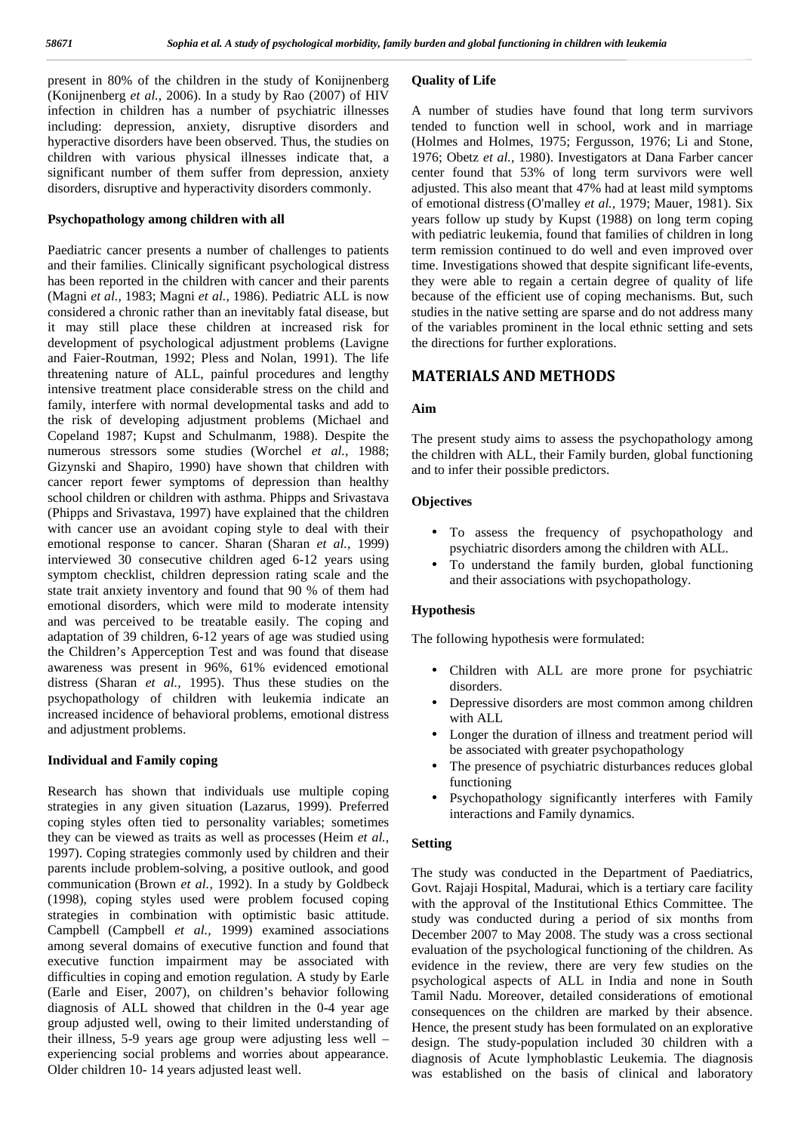present in 80% of the children in the study of Konijnenberg (Konijnenberg *et al.,* 2006). In a study by Rao (2007) of HIV infection in children has a number of psychiatric illnesses including: depression, anxiety, disruptive disorders and hyperactive disorders have been observed. Thus, the studies on children with various physical illnesses indicate that, a significant number of them suffer from depression, anxiety disorders, disruptive and hyperactivity disorders commonly.

#### **Psychopathology among children with all**

Paediatric cancer presents a number of challenges to patients and their families. Clinically significant psychological distress has been reported in the children with cancer and their parents (Magni *et al.,* 1983; Magni *et al.,* 1986). Pediatric ALL is now considered a chronic rather than an inevitably fatal disease, but it may still place these children at increased risk for development of psychological adjustment problems (Lavigne and Faier-Routman, 1992; Pless and Nolan, 1991). The life threatening nature of ALL, painful procedures and lengthy intensive treatment place considerable stress on the child and family, interfere with normal developmental tasks and add to the risk of developing adjustment problems (Michael and Copeland 1987; Kupst and Schulmanm, 1988). Despite the numerous stressors some studies (Worchel *et al.,* 1988; Gizynski and Shapiro, 1990) have shown that children with cancer report fewer symptoms of depression than healthy school children or children with asthma. Phipps and Srivastava (Phipps and Srivastava, 1997) have explained that the children with cancer use an avoidant coping style to deal with their emotional response to cancer. Sharan (Sharan *et al.,* 1999) interviewed 30 consecutive children aged 6-12 years using symptom checklist, children depression rating scale and the state trait anxiety inventory and found that 90 % of them had emotional disorders, which were mild to moderate intensity and was perceived to be treatable easily. The coping and adaptation of 39 children, 6-12 years of age was studied using the Children's Apperception Test and was found that disease awareness was present in 96%, 61% evidenced emotional distress (Sharan *et al.,* 1995). Thus these studies on the psychopathology of children with leukemia indicate an increased incidence of behavioral problems, emotional distress and adjustment problems.

#### **Individual and Family coping**

Research has shown that individuals use multiple coping strategies in any given situation (Lazarus, 1999). Preferred coping styles often tied to personality variables; sometimes they can be viewed as traits as well as processes (Heim *et al.,* 1997). Coping strategies commonly used by children and their parents include problem-solving, a positive outlook, and good communication (Brown *et al.,* 1992). In a study by Goldbeck (1998), coping styles used were problem focused coping strategies in combination with optimistic basic attitude. Campbell (Campbell *et al.,* 1999) examined associations among several domains of executive function and found that executive function impairment may be associated with difficulties in coping and emotion regulation. A study by Earle (Earle and Eiser, 2007), on children's behavior following diagnosis of ALL showed that children in the 0-4 year age group adjusted well, owing to their limited understanding of their illness, 5-9 years age group were adjusting less well – experiencing social problems and worries about appearance. Older children 10- 14 years adjusted least well.

#### **Quality of Life**

A number of studies have found that long term survivors tended to function well in school, work and in marriage (Holmes and Holmes, 1975; Fergusson, 1976; Li and Stone, 1976; Obetz *et al.,* 1980). Investigators at Dana Farber cancer center found that 53% of long term survivors were well adjusted. This also meant that 47% had at least mild symptoms of emotional distress (O'malley *et al.,* 1979; Mauer, 1981). Six years follow up study by Kupst (1988) on long term coping with pediatric leukemia, found that families of children in long term remission continued to do well and even improved over time. Investigations showed that despite significant life-events, they were able to regain a certain degree of quality of life because of the efficient use of coping mechanisms. But, such studies in the native setting are sparse and do not address many of the variables prominent in the local ethnic setting and sets the directions for further explorations.

### **MATERIALS AND METHODS**

#### **Aim**

The present study aims to assess the psychopathology among the children with ALL, their Family burden, global functioning and to infer their possible predictors.

#### **Objectives**

- To assess the frequency of psychopathology and psychiatric disorders among the children with ALL.
- To understand the family burden, global functioning and their associations with psychopathology.

#### **Hypothesis**

The following hypothesis were formulated:

- Children with ALL are more prone for psychiatric disorders.
- Depressive disorders are most common among children with ALL
- Longer the duration of illness and treatment period will be associated with greater psychopathology
- The presence of psychiatric disturbances reduces global functioning
- Psychopathology significantly interferes with Family interactions and Family dynamics.

#### **Setting**

The study was conducted in the Department of Paediatrics, Govt. Rajaji Hospital, Madurai, which is a tertiary care facility with the approval of the Institutional Ethics Committee. The study was conducted during a period of six months from December 2007 to May 2008. The study was a cross sectional evaluation of the psychological functioning of the children. As evidence in the review, there are very few studies on the psychological aspects of ALL in India and none in South Tamil Nadu. Moreover, detailed considerations of emotional consequences on the children are marked by their absence. Hence, the present study has been formulated on an explorative design. The study-population included 30 children with a diagnosis of Acute lymphoblastic Leukemia. The diagnosis was established on the basis of clinical and laboratory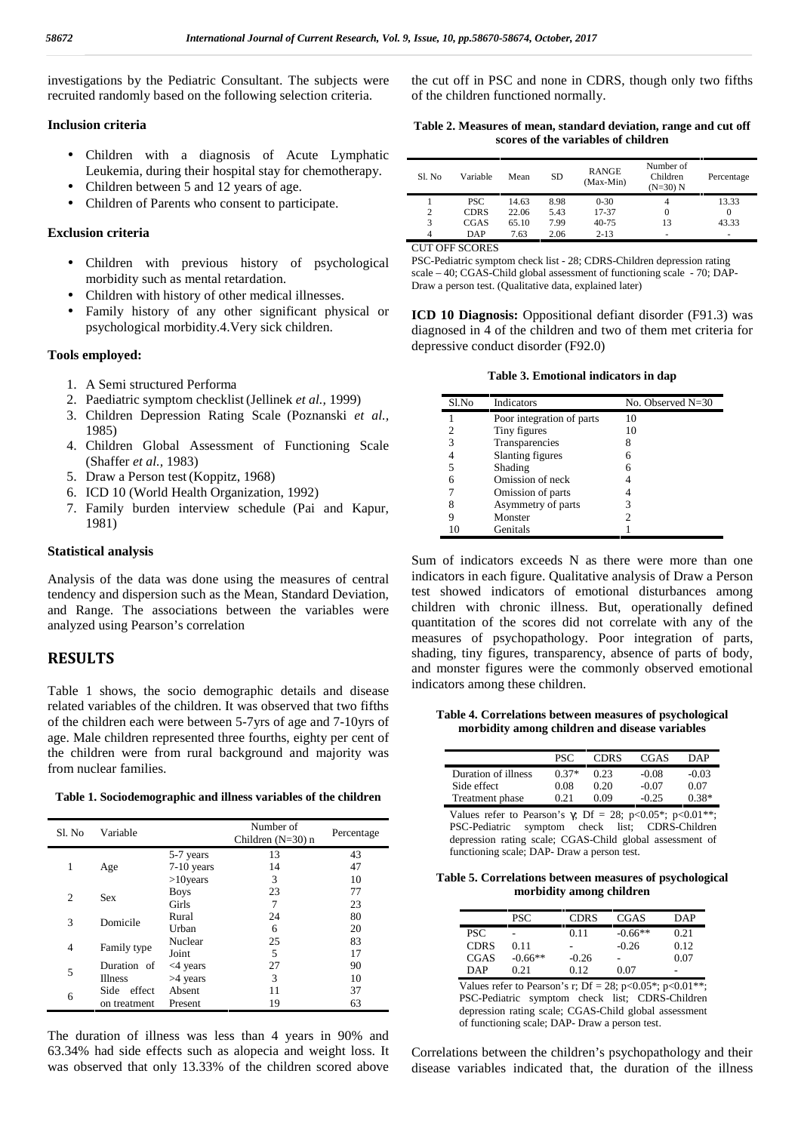investigations by the Pediatric Consultant. The subjects were recruited randomly based on the following selection criteria.

#### **Inclusion criteria**

- Children with a diagnosis of Acute Lymphatic Leukemia, during their hospital stay for chemotherapy.
- Children between 5 and 12 years of age.
- Children of Parents who consent to participate.

#### **Exclusion criteria**

- Children with previous history of psychological morbidity such as mental retardation.
- Children with history of other medical illnesses.
- Family history of any other significant physical or psychological morbidity.4.Very sick children.

#### **Tools employed:**

- 1. A Semi structured Performa
- 2. Paediatric symptom checklist(Jellinek *et al.,* 1999)
- 3. Children Depression Rating Scale (Poznanski *et al.,* 1985)
- 4. Children Global Assessment of Functioning Scale (Shaffer *et al.,* 1983)
- 5. Draw a Person test (Koppitz, 1968)
- 6. ICD 10 (World Health Organization, 1992)
- 7. Family burden interview schedule (Pai and Kapur, 1981)

#### **Statistical analysis**

Analysis of the data was done using the measures of central tendency and dispersion such as the Mean, Standard Deviation, and Range. The associations between the variables were analyzed using Pearson's correlation

#### **RESULTS**

Table 1 shows, the socio demographic details and disease related variables of the children. It was observed that two fifths of the children each were between 5-7yrs of age and 7-10yrs of age. Male children represented three fourths, eighty per cent of the children were from rural background and majority was from nuclear families.

|  |  | Table 1. Sociodemographic and illness variables of the children |  |
|--|--|-----------------------------------------------------------------|--|
|--|--|-----------------------------------------------------------------|--|

| Sl. No | Variable       |             | Number of<br>Children $(N=30)$ n | Percentage |
|--------|----------------|-------------|----------------------------------|------------|
|        |                | 5-7 years   | 13                               | 43         |
| 1      | Age            | 7-10 years  | 14                               | 47         |
|        |                | $>10$ years | 3                                | 10         |
|        |                | <b>Boys</b> | 23                               | 77         |
| 2      | <b>Sex</b>     | Girls       | 7                                | 23         |
|        | Domicile       | Rural       | 24                               | 80         |
| 3      |                | Urban       | 6                                | 20         |
|        |                | Nuclear     | 25                               | 83         |
| 4      | Family type    | Joint       | 5                                | 17         |
|        | Duration of    | $<$ 4 years | 27                               | 90         |
| 5      | <b>Illness</b> | >4 years    | 3                                | 10         |
| 6      | Side effect    | Absent      | 11                               | 37         |
|        | on treatment   | Present     | 19                               | 63         |

The duration of illness was less than 4 years in 90% and 63.34% had side effects such as alopecia and weight loss. It was observed that only 13.33% of the children scored above the cut off in PSC and none in CDRS, though only two fifths of the children functioned normally.

**Table 2. Measures of mean, standard deviation, range and cut off scores of the variables of children**

| S1. No | Variable    | Mean  | SD   | <b>RANGE</b><br>(Max-Min) | Number of<br>Children<br>$(N=30) N$ | Percentage               |
|--------|-------------|-------|------|---------------------------|-------------------------------------|--------------------------|
|        | PSC.        | 14.63 | 8.98 | $0 - 30$                  |                                     | 13.33                    |
| 2      | <b>CDRS</b> | 22.06 | 5.43 | 17-37                     | 0                                   |                          |
| 3      | CGAS        | 65.10 | 7.99 | $40 - 75$                 | 13                                  | 43.33                    |
| 4      | DAP         | 7.63  | 2.06 | $2 - 13$                  | ۰                                   | $\overline{\phantom{a}}$ |

CUT OFF SCORES

PSC-Pediatric symptom check list - 28; CDRS-Children depression rating scale – 40; CGAS-Child global assessment of functioning scale -70; DAP- Draw a person test. (Qualitative data, explained later)

**ICD 10 Diagnosis:** Oppositional defiant disorder (F91.3) was diagnosed in 4 of the children and two of them met criteria for depressive conduct disorder (F92.0)

**Table 3. Emotional indicators in dap**

| Sl.No | Indicators                | No. Observed N=30 |
|-------|---------------------------|-------------------|
|       | Poor integration of parts | 10                |
|       | Tiny figures              | 10                |
| 3     | Transparencies            | 8                 |
|       | Slanting figures          | 6                 |
| 5     | Shading                   | 6                 |
| 6     | Omission of neck          |                   |
|       | Omission of parts         |                   |
| 8     | Asymmetry of parts        |                   |
|       | Monster                   |                   |
| 10    | Genitals                  |                   |

Sum of indicators exceeds N as there were more than one indicators in each figure. Qualitative analysis of Draw a Person test showed indicators of emotional disturbances among children with chronic illness. But, operationally defined quantitation of the scores did not correlate with any of the measures of psychopathology. Poor integration of parts, shading, tiny figures, transparency, absence of parts of body, and monster figures were the commonly observed emotional indicators among these children.

**Table 4. Correlations between measures of psychological morbidity among children and disease variables**

|                     | <b>PSC</b> | <b>CDRS</b> | CGAS    | <b>DAP</b> |
|---------------------|------------|-------------|---------|------------|
| Duration of illness | $0.37*$    | 0.23        | $-0.08$ | $-0.03$    |
| Side effect         | 0.08       | 0.20        | $-0.07$ | 0.07       |
| Treatment phase     | 0.21       | 0.09        | $-0.25$ | $0.38*$    |

Values refer to Pearson's  $\gamma$ ; Df = 28; p<0.05\*; p<0.01\*\*; PSC-Pediatric symptom check list; CDRS-Children depression rating scale; CGAS-Child global assessment of functioning scale; DAP- Draw a person test.

**Table 5. Correlations between measures of psychological morbidity among children**

|             | <b>PSC</b> | <b>CDRS</b> | CGAS            | DAP  |
|-------------|------------|-------------|-----------------|------|
| <b>PSC</b>  | -          | 0.11        | $-0.66**$       | 0.21 |
| <b>CDRS</b> | 0.11       | -           | $-0.26$         | 0.12 |
| CGAS        | $-0.66**$  | $-0.26$     | $\qquad \qquad$ | 0.07 |
| DAP         | 0.21       | 0.12        | 0.07            | -    |

Values refer to Pearson's r; Df = 28; p<0.05\*; p<0.01\*\*; PSC-Pediatric symptom check list; CDRS-Children depression rating scale; CGAS-Child global assessment of functioning scale; DAP- Draw a person test.

Correlations between the children's psychopathology and their disease variables indicated that, the duration of the illness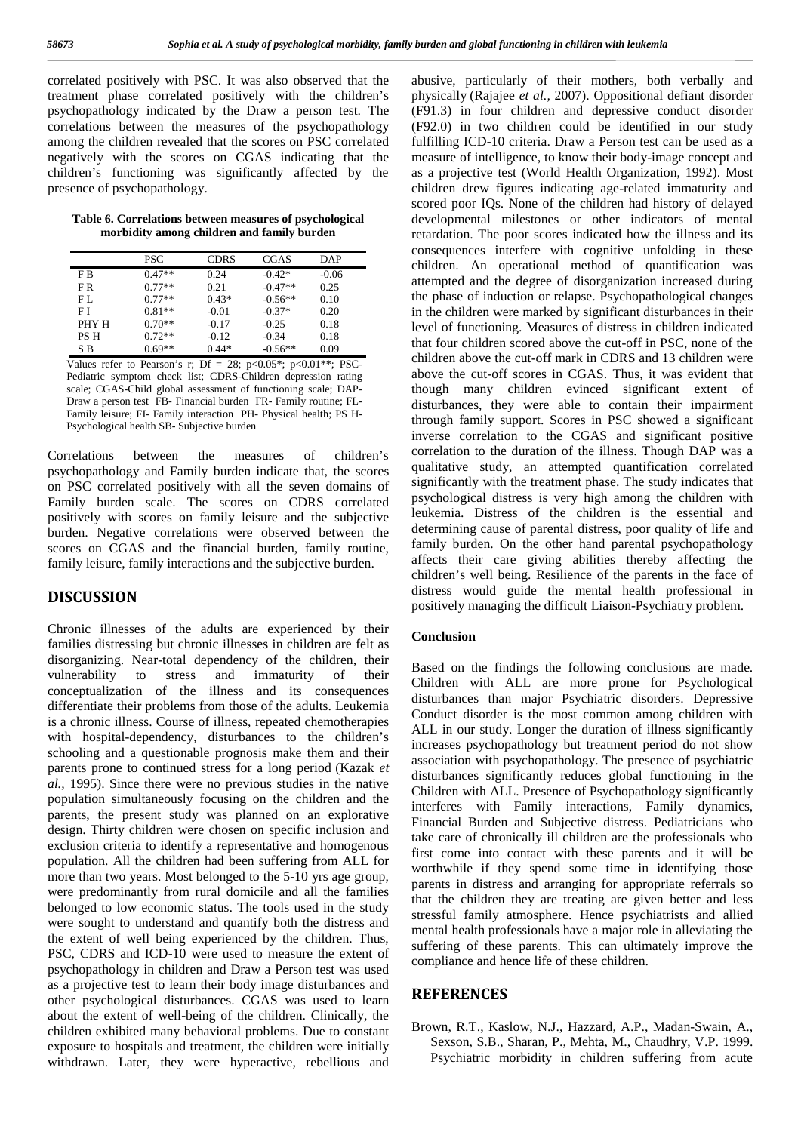correlated positively with PSC. It was also observed that the treatment phase correlated positively with the children's psychopathology indicated by the Draw a person test. The correlations between the measures of the psychopathology among the children revealed that the scores on PSC correlated negatively with the scores on CGAS indicating that the children's functioning was significantly affected by the presence of psychopathology.

**Table 6. Correlations between measures of psychological morbidity among children and family burden**

|            | <b>PSC</b> | <b>CDRS</b> | CGAS      | DAP     |
|------------|------------|-------------|-----------|---------|
| F B        | $0.47**$   | 0.24        | $-0.42*$  | $-0.06$ |
| FR.        | $0.77**$   | 0.21        | $-0.47**$ | 0.25    |
| FL.        | $0.77**$   | $0.43*$     | $-0.56**$ | 0.10    |
| FΙ         | $0.81**$   | $-0.01$     | $-0.37*$  | 0.20    |
| PHY H      | $0.70**$   | $-0.17$     | $-0.25$   | 0.18    |
| <b>PSH</b> | $0.72**$   | $-0.12$     | $-0.34$   | 0.18    |
| S B        | $0.69**$   | $0.44*$     | $-0.56**$ | 0.09    |

Values refer to Pearson's r; Df = 28; p<0.05\*; p<0.01\*\*; PSC-Pediatric symptom check list; CDRS-Children depression rating scale; CGAS-Child global assessment of functioning scale; DAP- Draw a person test FB- Financial burden FR- Family routine; FL- Family leisure; FI- Family interaction PH- Physical health; PS H- Psychological health SB- Subjective burden

Correlations between the measures of children's psychopathology and Family burden indicate that, the scores on PSC correlated positively with all the seven domains of Family burden scale. The scores on CDRS correlated positively with scores on family leisure and the subjective burden. Negative correlations were observed between the scores on CGAS and the financial burden, family routine, family leisure, family interactions and the subjective burden.

## **DISCUSSION**

Chronic illnesses of the adults are experienced by their families distressing but chronic illnesses in children are felt as disorganizing. Near-total dependency of the children, their vulnerability to stress and immaturity of their conceptualization of the illness and its consequences differentiate their problems from those of the adults. Leukemia is a chronic illness. Course of illness, repeated chemotherapies with hospital-dependency, disturbances to the children's schooling and a questionable prognosis make them and their parents prone to continued stress for a long period (Kazak *et al.,* 1995). Since there were no previous studies in the native population simultaneously focusing on the children and the parents, the present study was planned on an explorative design. Thirty children were chosen on specific inclusion and exclusion criteria to identify a representative and homogenous population. All the children had been suffering from ALL for more than two years. Most belonged to the 5-10 yrs age group, were predominantly from rural domicile and all the families belonged to low economic status. The tools used in the study were sought to understand and quantify both the distress and the extent of well being experienced by the children. Thus, PSC, CDRS and ICD-10 were used to measure the extent of psychopathology in children and Draw a Person test was used as a projective test to learn their body image disturbances and other psychological disturbances. CGAS was used to learn about the extent of well-being of the children. Clinically, the children exhibited many behavioral problems. Due to constant exposure to hospitals and treatment, the children were initially withdrawn. Later, they were hyperactive, rebellious and

abusive, particularly of their mothers, both verbally and physically (Rajajee *et al.,* 2007). Oppositional defiant disorder (F91.3) in four children and depressive conduct disorder (F92.0) in two children could be identified in our study fulfilling ICD-10 criteria. Draw a Person test can be used as a measure of intelligence, to know their body-image concept and as a projective test (World Health Organization, 1992). Most children drew figures indicating age-related immaturity and scored poor IQs. None of the children had history of delayed developmental milestones or other indicators of mental retardation. The poor scores indicated how the illness and its consequences interfere with cognitive unfolding in these children. An operational method of quantification was attempted and the degree of disorganization increased during the phase of induction or relapse. Psychopathological changes in the children were marked by significant disturbances in their level of functioning. Measures of distress in children indicated that four children scored above the cut-off in PSC, none of the children above the cut-off mark in CDRS and 13 children were above the cut-off scores in CGAS. Thus, it was evident that though many children evinced significant extent of disturbances, they were able to contain their impairment through family support. Scores in PSC showed a significant inverse correlation to the CGAS and significant positive correlation to the duration of the illness. Though DAP was a qualitative study, an attempted quantification correlated significantly with the treatment phase. The study indicates that psychological distress is very high among the children with leukemia. Distress of the children is the essential and determining cause of parental distress, poor quality of life and family burden. On the other hand parental psychopathology affects their care giving abilities thereby affecting the children's well being. Resilience of the parents in the face of distress would guide the mental health professional in positively managing the difficult Liaison-Psychiatry problem.

#### **Conclusion**

Based on the findings the following conclusions are made. Children with ALL are more prone for Psychological disturbances than major Psychiatric disorders. Depressive Conduct disorder is the most common among children with ALL in our study. Longer the duration of illness significantly increases psychopathology but treatment period do not show association with psychopathology. The presence of psychiatric disturbances significantly reduces global functioning in the Children with ALL. Presence of Psychopathology significantly interferes with Family interactions, Family dynamics, Financial Burden and Subjective distress. Pediatricians who take care of chronically ill children are the professionals who first come into contact with these parents and it will be worthwhile if they spend some time in identifying those parents in distress and arranging for appropriate referrals so that the children they are treating are given better and less stressful family atmosphere. Hence psychiatrists and allied mental health professionals have a major role in alleviating the suffering of these parents. This can ultimately improve the compliance and hence life of these children.

### **REFERENCES**

Brown, R.T., Kaslow, N.J., Hazzard, A.P., Madan-Swain, A., Sexson, S.B., Sharan, P., Mehta, M., Chaudhry, V.P. 1999. Psychiatric morbidity in children suffering from acute